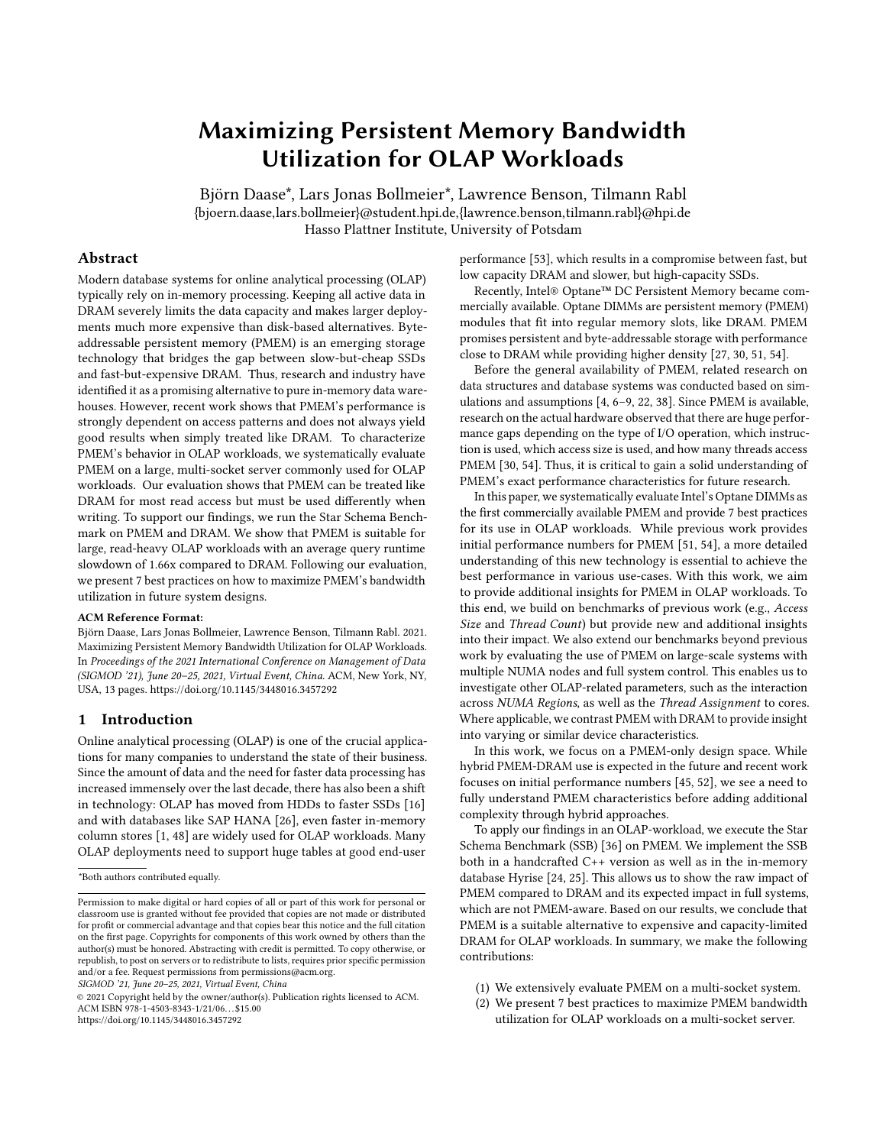# Maximizing Persistent Memory Bandwidth Utilization for OLAP Workloads

Björn Daase\*, Lars Jonas Bollmeier\*, Lawrence Benson, Tilmann Rabl {bjoern.daase,lars.bollmeier}@student.hpi.de,{lawrence.benson,tilmann.rabl}@hpi.de Hasso Plattner Institute, University of Potsdam

## Abstract

Modern database systems for online analytical processing (OLAP) typically rely on in-memory processing. Keeping all active data in DRAM severely limits the data capacity and makes larger deployments much more expensive than disk-based alternatives. Byteaddressable persistent memory (PMEM) is an emerging storage technology that bridges the gap between slow-but-cheap SSDs and fast-but-expensive DRAM. Thus, research and industry have identified it as a promising alternative to pure in-memory data warehouses. However, recent work shows that PMEM's performance is strongly dependent on access patterns and does not always yield good results when simply treated like DRAM. To characterize PMEM's behavior in OLAP workloads, we systematically evaluate PMEM on a large, multi-socket server commonly used for OLAP workloads. Our evaluation shows that PMEM can be treated like DRAM for most read access but must be used differently when writing. To support our findings, we run the Star Schema Benchmark on PMEM and DRAM. We show that PMEM is suitable for large, read-heavy OLAP workloads with an average query runtime slowdown of 1.66x compared to DRAM. Following our evaluation, we present 7 best practices on how to maximize PMEM's bandwidth utilization in future system designs.

## ACM Reference Format:

Björn Daase, Lars Jonas Bollmeier, Lawrence Benson, Tilmann Rabl. 2021. Maximizing Persistent Memory Bandwidth Utilization for OLAP Workloads. In Proceedings of the 2021 International Conference on Management of Data (SIGMOD '21), June 20–25, 2021, Virtual Event, China. ACM, New York, NY, USA, [13](#page-12-0) pages.<https://doi.org/10.1145/3448016.3457292>

#### [1](#page-0-0) Introduction

Online analytical processing (OLAP) is one of the crucial applications for many companies to understand the state of their business. Since the amount of data and the need for faster data processing has increased immensely over the last decade, there has also been a shift in technology: OLAP has moved from HDDs to faster SSDs [\[16\]](#page-12-1) and with databases like SAP HANA [\[26\]](#page-12-2), even faster in-memory column stores [\[1,](#page-12-3) [48\]](#page-12-4) are widely used for OLAP workloads. Many OLAP deployments need to support huge tables at good end-user

SIGMOD '21, June 20–25, 2021, Virtual Event, China

© 2021 Copyright held by the owner/author(s). Publication rights licensed to ACM. ACM ISBN 978-1-4503-8343-1/21/06. . . \$15.00 <https://doi.org/10.1145/3448016.3457292>

performance [\[53\]](#page-12-5), which results in a compromise between fast, but low capacity DRAM and slower, but high-capacity SSDs.

Recently, Intel® Optane™ DC Persistent Memory became commercially available. Optane DIMMs are persistent memory (PMEM) modules that fit into regular memory slots, like DRAM. PMEM promises persistent and byte-addressable storage with performance close to DRAM while providing higher density [\[27,](#page-12-6) [30,](#page-12-7) [51,](#page-12-8) [54\]](#page-12-9).

Before the general availability of PMEM, related research on data structures and database systems was conducted based on simulations and assumptions [\[4,](#page-12-10) [6–](#page-12-11)[9,](#page-12-12) [22,](#page-12-13) [38\]](#page-12-14). Since PMEM is available, research on the actual hardware observed that there are huge performance gaps depending on the type of I/O operation, which instruction is used, which access size is used, and how many threads access PMEM [\[30,](#page-12-7) [54\]](#page-12-9). Thus, it is critical to gain a solid understanding of PMEM's exact performance characteristics for future research.

In this paper, we systematically evaluate Intel's Optane DIMMs as the first commercially available PMEM and provide 7 best practices for its use in OLAP workloads. While previous work provides initial performance numbers for PMEM [\[51,](#page-12-8) [54\]](#page-12-9), a more detailed understanding of this new technology is essential to achieve the best performance in various use-cases. With this work, we aim to provide additional insights for PMEM in OLAP workloads. To this end, we build on benchmarks of previous work (e.g., Access Size and Thread Count) but provide new and additional insights into their impact. We also extend our benchmarks beyond previous work by evaluating the use of PMEM on large-scale systems with multiple NUMA nodes and full system control. This enables us to investigate other OLAP-related parameters, such as the interaction across NUMA Regions, as well as the Thread Assignment to cores. Where applicable, we contrast PMEM with DRAM to provide insight into varying or similar device characteristics.

In this work, we focus on a PMEM-only design space. While hybrid PMEM-DRAM use is expected in the future and recent work focuses on initial performance numbers [\[45,](#page-12-15) [52\]](#page-12-16), we see a need to fully understand PMEM characteristics before adding additional complexity through hybrid approaches.

To apply our findings in an OLAP-workload, we execute the Star Schema Benchmark (SSB) [\[36\]](#page-12-17) on PMEM. We implement the SSB both in a handcrafted C++ version as well as in the in-memory database Hyrise [\[24,](#page-12-18) [25\]](#page-12-19). This allows us to show the raw impact of PMEM compared to DRAM and its expected impact in full systems, which are not PMEM-aware. Based on our results, we conclude that PMEM is a suitable alternative to expensive and capacity-limited DRAM for OLAP workloads. In summary, we make the following contributions:

- (1) We extensively evaluate PMEM on a multi-socket system.
- (2) We present 7 best practices to maximize PMEM bandwidth utilization for OLAP workloads on a multi-socket server.

<span id="page-0-0"></span><sup>\*</sup>Both authors contributed equally.

Permission to make digital or hard copies of all or part of this work for personal or classroom use is granted without fee provided that copies are not made or distributed for profit or commercial advantage and that copies bear this notice and the full citation on the first page. Copyrights for components of this work owned by others than the author(s) must be honored. Abstracting with credit is permitted. To copy otherwise, or republish, to post on servers or to redistribute to lists, requires prior specific permission and/or a fee. Request permissions from permissions@acm.org.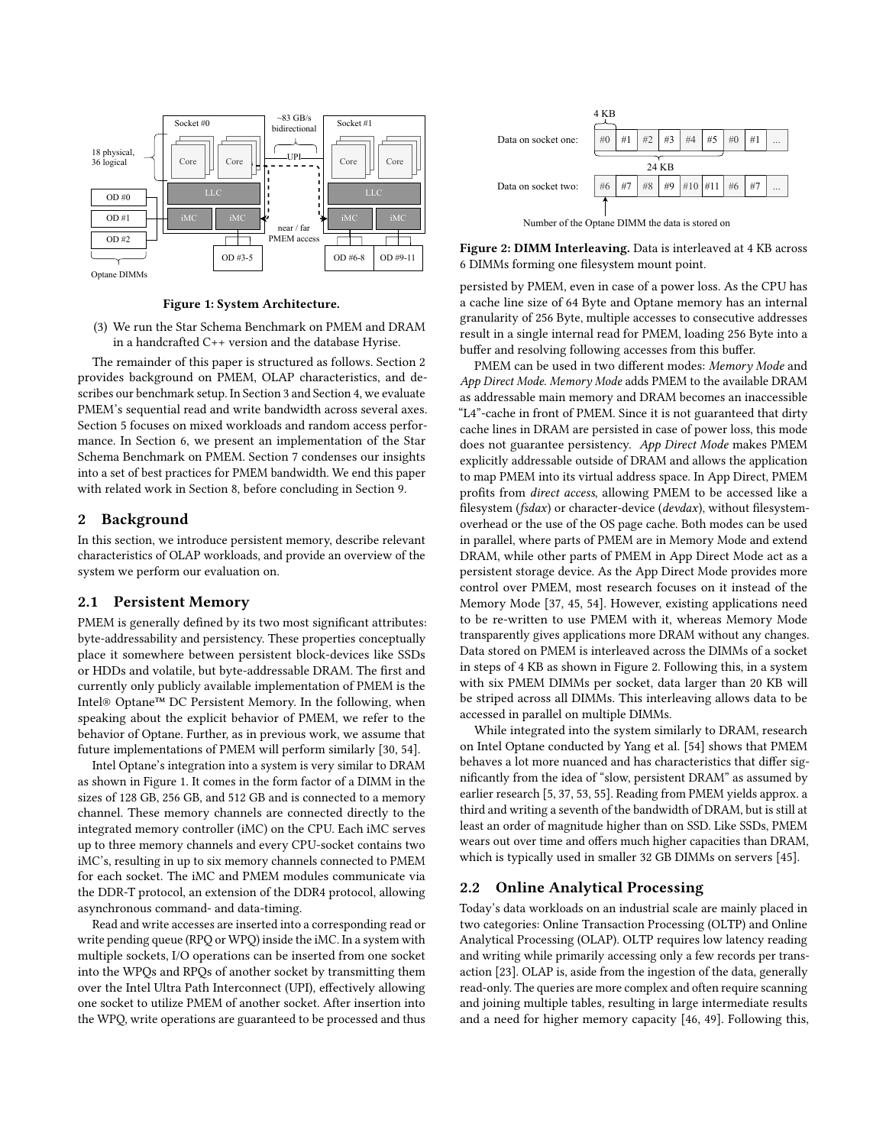<span id="page-1-1"></span>

Figure 1: System Architecture.

(3) We run the Star Schema Benchmark on PMEM and DRAM in a handcrafted C++ version and the database Hyrise.

The remainder of this paper is structured as follows. Section [2](#page-1-0) provides background on PMEM, OLAP characteristics, and describes our benchmark setup. In Section [3](#page-2-0) and Section [4,](#page-5-0) we evaluate PMEM's sequential read and write bandwidth across several axes. Section [5](#page-8-0) focuses on mixed workloads and random access performance. In Section [6,](#page-9-0) we present an implementation of the Star Schema Benchmark on PMEM. Section [7](#page-11-0) condenses our insights into a set of best practices for PMEM bandwidth. We end this paper with related work in Section [8,](#page-11-1) before concluding in Section [9.](#page-11-2)

## <span id="page-1-0"></span>2 Background

In this section, we introduce persistent memory, describe relevant characteristics of OLAP workloads, and provide an overview of the system we perform our evaluation on.

#### 2.1 Persistent Memory

PMEM is generally defined by its two most significant attributes: byte-addressability and persistency. These properties conceptually place it somewhere between persistent block-devices like SSDs or HDDs and volatile, but byte-addressable DRAM. The first and currently only publicly available implementation of PMEM is the Intel® Optane™ DC Persistent Memory. In the following, when speaking about the explicit behavior of PMEM, we refer to the behavior of Optane. Further, as in previous work, we assume that future implementations of PMEM will perform similarly [\[30,](#page-12-7) [54\]](#page-12-9).

Intel Optane's integration into a system is very similar to DRAM as shown in Figure [1.](#page-1-1) It comes in the form factor of a DIMM in the sizes of 128 GB, 256 GB, and 512 GB and is connected to a memory channel. These memory channels are connected directly to the integrated memory controller (iMC) on the CPU. Each iMC serves up to three memory channels and every CPU-socket contains two iMC's, resulting in up to six memory channels connected to PMEM for each socket. The iMC and PMEM modules communicate via the DDR-T protocol, an extension of the DDR4 protocol, allowing asynchronous command- and data-timing.

Read and write accesses are inserted into a corresponding read or write pending queue (RPQ or WPQ) inside the iMC. In a system with multiple sockets, I/O operations can be inserted from one socket into the WPQs and RPQs of another socket by transmitting them over the Intel Ultra Path Interconnect (UPI), effectively allowing one socket to utilize PMEM of another socket. After insertion into the WPQ, write operations are guaranteed to be processed and thus

<span id="page-1-2"></span>

Figure 2: DIMM Interleaving. Data is interleaved at 4 KB across 6 DIMMs forming one filesystem mount point.

persisted by PMEM, even in case of a power loss. As the CPU has a cache line size of 64 Byte and Optane memory has an internal granularity of 256 Byte, multiple accesses to consecutive addresses result in a single internal read for PMEM, loading 256 Byte into a buffer and resolving following accesses from this buffer.

PMEM can be used in two different modes: Memory Mode and App Direct Mode. Memory Mode adds PMEM to the available DRAM as addressable main memory and DRAM becomes an inaccessible "L4"-cache in front of PMEM. Since it is not guaranteed that dirty cache lines in DRAM are persisted in case of power loss, this mode does not guarantee persistency. App Direct Mode makes PMEM explicitly addressable outside of DRAM and allows the application to map PMEM into its virtual address space. In App Direct, PMEM profits from direct access, allowing PMEM to be accessed like a filesystem (fsdax) or character-device (devdax), without filesystemoverhead or the use of the OS page cache. Both modes can be used in parallel, where parts of PMEM are in Memory Mode and extend DRAM, while other parts of PMEM in App Direct Mode act as a persistent storage device. As the App Direct Mode provides more control over PMEM, most research focuses on it instead of the Memory Mode [\[37,](#page-12-20) [45,](#page-12-15) [54\]](#page-12-9). However, existing applications need to be re-written to use PMEM with it, whereas Memory Mode transparently gives applications more DRAM without any changes. Data stored on PMEM is interleaved across the DIMMs of a socket in steps of 4 KB as shown in Figure [2.](#page-1-2) Following this, in a system with six PMEM DIMMs per socket, data larger than 20 KB will be striped across all DIMMs. This interleaving allows data to be accessed in parallel on multiple DIMMs.

While integrated into the system similarly to DRAM, research on Intel Optane conducted by Yang et al. [\[54\]](#page-12-9) shows that PMEM behaves a lot more nuanced and has characteristics that differ significantly from the idea of "slow, persistent DRAM" as assumed by earlier research [\[5,](#page-12-21) [37,](#page-12-20) [53,](#page-12-5) [55\]](#page-12-22). Reading from PMEM yields approx. a third and writing a seventh of the bandwidth of DRAM, but is still at least an order of magnitude higher than on SSD. Like SSDs, PMEM wears out over time and offers much higher capacities than DRAM, which is typically used in smaller 32 GB DIMMs on servers [\[45\]](#page-12-15).

# 2.2 Online Analytical Processing

Today's data workloads on an industrial scale are mainly placed in two categories: Online Transaction Processing (OLTP) and Online Analytical Processing (OLAP). OLTP requires low latency reading and writing while primarily accessing only a few records per transaction [\[23\]](#page-12-23). OLAP is, aside from the ingestion of the data, generally read-only. The queries are more complex and often require scanning and joining multiple tables, resulting in large intermediate results and a need for higher memory capacity [\[46,](#page-12-24) [49\]](#page-12-25). Following this,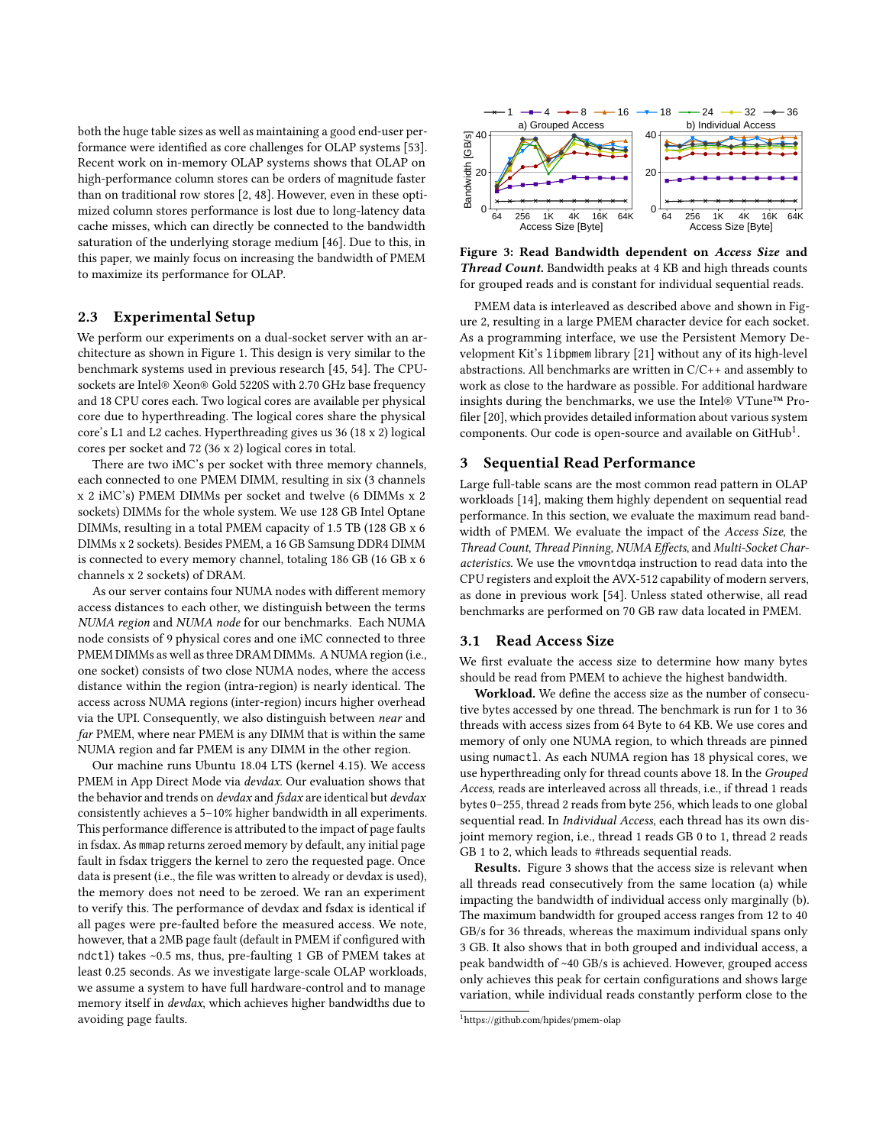both the huge table sizes as well as maintaining a good end-user performance were identified as core challenges for OLAP systems [\[53\]](#page-12-5). Recent work on in-memory OLAP systems shows that OLAP on high-performance column stores can be orders of magnitude faster than on traditional row stores [\[2,](#page-12-26) [48\]](#page-12-4). However, even in these optimized column stores performance is lost due to long-latency data cache misses, which can directly be connected to the bandwidth saturation of the underlying storage medium [\[46\]](#page-12-24). Due to this, in this paper, we mainly focus on increasing the bandwidth of PMEM to maximize its performance for OLAP.

# 2.3 Experimental Setup

We perform our experiments on a dual-socket server with an architecture as shown in Figure [1.](#page-1-1) This design is very similar to the benchmark systems used in previous research [\[45,](#page-12-15) [54\]](#page-12-9). The CPUsockets are Intel® Xeon® Gold 5220S with 2.70 GHz base frequency and 18 CPU cores each. Two logical cores are available per physical core due to hyperthreading. The logical cores share the physical core's L1 and L2 caches. Hyperthreading gives us 36 (18 x 2) logical cores per socket and 72 (36 x 2) logical cores in total.

There are two iMC's per socket with three memory channels, each connected to one PMEM DIMM, resulting in six (3 channels x 2 iMC's) PMEM DIMMs per socket and twelve (6 DIMMs x 2 sockets) DIMMs for the whole system. We use 128 GB Intel Optane DIMMs, resulting in a total PMEM capacity of 1.5 TB (128 GB x 6 DIMMs x 2 sockets). Besides PMEM, a 16 GB Samsung DDR4 DIMM is connected to every memory channel, totaling 186 GB (16 GB x 6 channels x 2 sockets) of DRAM.

As our server contains four NUMA nodes with different memory access distances to each other, we distinguish between the terms NUMA region and NUMA node for our benchmarks. Each NUMA node consists of 9 physical cores and one iMC connected to three PMEM DIMMs as well as three DRAM DIMMs. A NUMA region (i.e., one socket) consists of two close NUMA nodes, where the access distance within the region (intra-region) is nearly identical. The access across NUMA regions (inter-region) incurs higher overhead via the UPI. Consequently, we also distinguish between near and far PMEM, where near PMEM is any DIMM that is within the same NUMA region and far PMEM is any DIMM in the other region.

Our machine runs Ubuntu 18.04 LTS (kernel 4.15). We access PMEM in App Direct Mode via *devdax*. Our evaluation shows that the behavior and trends on *devdax* and *fsdax* are identical but *devdax* consistently achieves a 5–10% higher bandwidth in all experiments. This performance difference is attributed to the impact of page faults in fsdax. As mmap returns zeroed memory by default, any initial page fault in fsdax triggers the kernel to zero the requested page. Once data is present (i.e., the file was written to already or devdax is used), the memory does not need to be zeroed. We ran an experiment to verify this. The performance of devdax and fsdax is identical if all pages were pre-faulted before the measured access. We note, however, that a 2MB page fault (default in PMEM if configured with ndctl) takes ~0.5 ms, thus, pre-faulting 1 GB of PMEM takes at least 0.25 seconds. As we investigate large-scale OLAP workloads, we assume a system to have full hardware-control and to manage memory itself in devdax, which achieves higher bandwidths due to avoiding page faults.

<span id="page-2-2"></span>

Figure 3: Read Bandwidth dependent on Access Size and Thread Count. Bandwidth peaks at 4 KB and high threads counts for grouped reads and is constant for individual sequential reads.

PMEM data is interleaved as described above and shown in Figure [2,](#page-1-2) resulting in a large PMEM character device for each socket. As a programming interface, we use the Persistent Memory Development Kit's libpmem library [\[21\]](#page-12-27) without any of its high-level abstractions. All benchmarks are written in C/C++ and assembly to work as close to the hardware as possible. For additional hardware insights during the benchmarks, we use the Intel® VTune™ Profiler [\[20\]](#page-12-28), which provides detailed information about various system components. Our code is open-source and available on  $\mathrm{GitHub}^{1}$  $\mathrm{GitHub}^{1}$  $\mathrm{GitHub}^{1}$ .

#### <span id="page-2-0"></span>3 Sequential Read Performance

Large full-table scans are the most common read pattern in OLAP workloads [\[14\]](#page-12-29), making them highly dependent on sequential read performance. In this section, we evaluate the maximum read bandwidth of PMEM. We evaluate the impact of the Access Size, the Thread Count, Thread Pinning, NUMA Effects, and Multi-Socket Characteristics. We use the vmovntdqa instruction to read data into the CPU registers and exploit the AVX-512 capability of modern servers, as done in previous work [\[54\]](#page-12-9). Unless stated otherwise, all read benchmarks are performed on 70 GB raw data located in PMEM.

## <span id="page-2-3"></span>3.1 Read Access Size

We first evaluate the access size to determine how many bytes should be read from PMEM to achieve the highest bandwidth.

Workload. We define the access size as the number of consecutive bytes accessed by one thread. The benchmark is run for 1 to 36 threads with access sizes from 64 Byte to 64 KB. We use cores and memory of only one NUMA region, to which threads are pinned using numactl. As each NUMA region has 18 physical cores, we use hyperthreading only for thread counts above 18. In the Grouped Access, reads are interleaved across all threads, i.e., if thread 1 reads bytes 0–255, thread 2 reads from byte 256, which leads to one global sequential read. In Individual Access, each thread has its own disjoint memory region, i.e., thread 1 reads GB 0 to 1, thread 2 reads GB 1 to 2, which leads to #threads sequential reads.

Results. Figure [3](#page-2-2) shows that the access size is relevant when all threads read consecutively from the same location (a) while impacting the bandwidth of individual access only marginally (b). The maximum bandwidth for grouped access ranges from 12 to 40 GB/s for 36 threads, whereas the maximum individual spans only 3 GB. It also shows that in both grouped and individual access, a peak bandwidth of ~40 GB/s is achieved. However, grouped access only achieves this peak for certain configurations and shows large variation, while individual reads constantly perform close to the

<span id="page-2-1"></span><sup>1</sup><https://github.com/hpides/pmem-olap>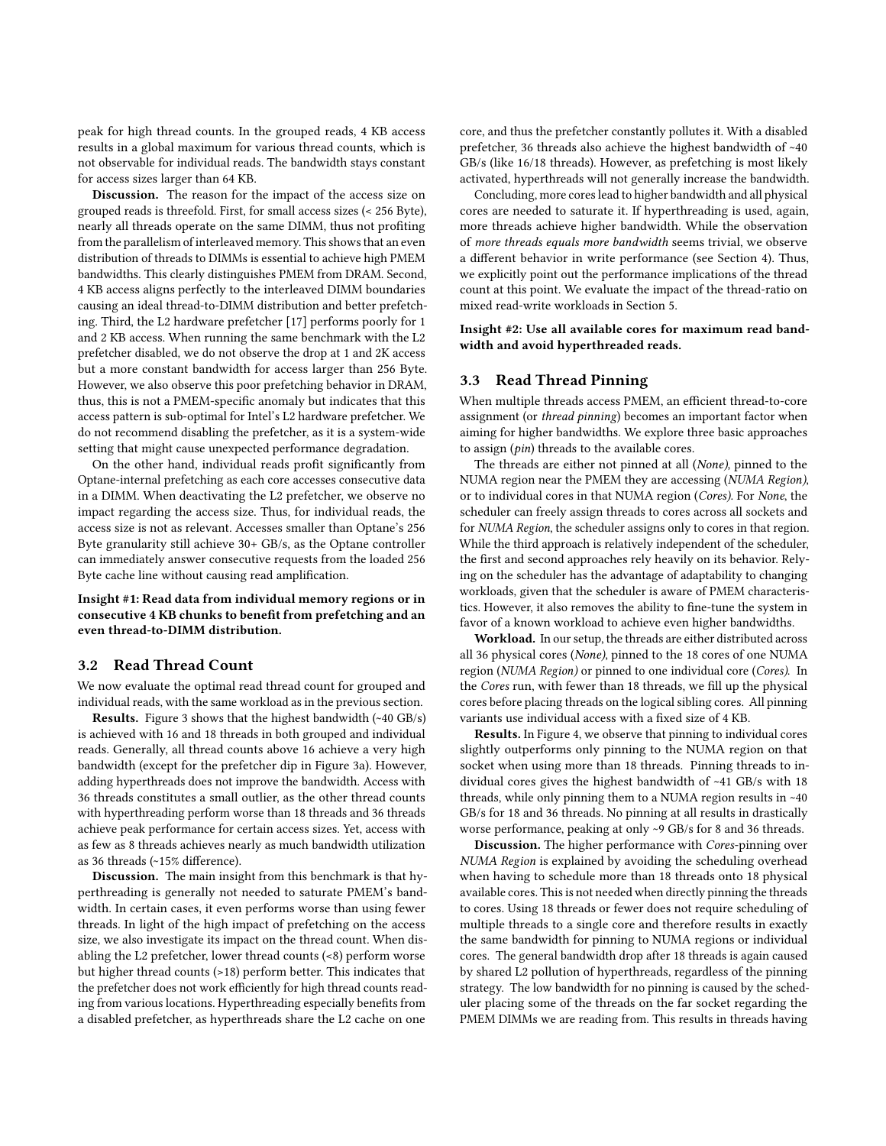peak for high thread counts. In the grouped reads, 4 KB access results in a global maximum for various thread counts, which is not observable for individual reads. The bandwidth stays constant for access sizes larger than 64 KB.

Discussion. The reason for the impact of the access size on grouped reads is threefold. First, for small access sizes (< 256 Byte), nearly all threads operate on the same DIMM, thus not profiting from the parallelism of interleaved memory. This shows that an even distribution of threads to DIMMs is essential to achieve high PMEM bandwidths. This clearly distinguishes PMEM from DRAM. Second, 4 KB access aligns perfectly to the interleaved DIMM boundaries causing an ideal thread-to-DIMM distribution and better prefetching. Third, the L2 hardware prefetcher [\[17\]](#page-12-30) performs poorly for 1 and 2 KB access. When running the same benchmark with the L2 prefetcher disabled, we do not observe the drop at 1 and 2K access but a more constant bandwidth for access larger than 256 Byte. However, we also observe this poor prefetching behavior in DRAM, thus, this is not a PMEM-specific anomaly but indicates that this access pattern is sub-optimal for Intel's L2 hardware prefetcher. We do not recommend disabling the prefetcher, as it is a system-wide setting that might cause unexpected performance degradation.

On the other hand, individual reads profit significantly from Optane-internal prefetching as each core accesses consecutive data in a DIMM. When deactivating the L2 prefetcher, we observe no impact regarding the access size. Thus, for individual reads, the access size is not as relevant. Accesses smaller than Optane's 256 Byte granularity still achieve 30+ GB/s, as the Optane controller can immediately answer consecutive requests from the loaded 256 Byte cache line without causing read amplification.

# Insight #1: Read data from individual memory regions or in consecutive 4 KB chunks to benefit from prefetching and an even thread-to-DIMM distribution.

#### 3.2 Read Thread Count

We now evaluate the optimal read thread count for grouped and individual reads, with the same workload as in the previous section.

Results. Figure [3](#page-2-2) shows that the highest bandwidth (~40 GB/s) is achieved with 16 and 18 threads in both grouped and individual reads. Generally, all thread counts above 16 achieve a very high bandwidth (except for the prefetcher dip in Figure [3a](#page-2-2)). However, adding hyperthreads does not improve the bandwidth. Access with 36 threads constitutes a small outlier, as the other thread counts with hyperthreading perform worse than 18 threads and 36 threads achieve peak performance for certain access sizes. Yet, access with as few as 8 threads achieves nearly as much bandwidth utilization as 36 threads (~15% difference).

Discussion. The main insight from this benchmark is that hyperthreading is generally not needed to saturate PMEM's bandwidth. In certain cases, it even performs worse than using fewer threads. In light of the high impact of prefetching on the access size, we also investigate its impact on the thread count. When disabling the L2 prefetcher, lower thread counts (<8) perform worse but higher thread counts (>18) perform better. This indicates that the prefetcher does not work efficiently for high thread counts reading from various locations. Hyperthreading especially benefits from a disabled prefetcher, as hyperthreads share the L2 cache on one

core, and thus the prefetcher constantly pollutes it. With a disabled prefetcher, 36 threads also achieve the highest bandwidth of ~40 GB/s (like 16/18 threads). However, as prefetching is most likely activated, hyperthreads will not generally increase the bandwidth.

Concluding, more cores lead to higher bandwidth and all physical cores are needed to saturate it. If hyperthreading is used, again, more threads achieve higher bandwidth. While the observation of more threads equals more bandwidth seems trivial, we observe a different behavior in write performance (see Section [4\)](#page-5-0). Thus, we explicitly point out the performance implications of the thread count at this point. We evaluate the impact of the thread-ratio on mixed read-write workloads in Section [5.](#page-8-0)

Insight #2: Use all available cores for maximum read bandwidth and avoid hyperthreaded reads.

# 3.3 Read Thread Pinning

When multiple threads access PMEM, an efficient thread-to-core assignment (or thread pinning) becomes an important factor when aiming for higher bandwidths. We explore three basic approaches to assign (pin) threads to the available cores.

The threads are either not pinned at all (None), pinned to the NUMA region near the PMEM they are accessing (NUMA Region), or to individual cores in that NUMA region (Cores). For None, the scheduler can freely assign threads to cores across all sockets and for NUMA Region, the scheduler assigns only to cores in that region. While the third approach is relatively independent of the scheduler, the first and second approaches rely heavily on its behavior. Relying on the scheduler has the advantage of adaptability to changing workloads, given that the scheduler is aware of PMEM characteristics. However, it also removes the ability to fine-tune the system in favor of a known workload to achieve even higher bandwidths.

Workload. In our setup, the threads are either distributed across all 36 physical cores (None), pinned to the 18 cores of one NUMA region (NUMA Region) or pinned to one individual core (Cores). In the Cores run, with fewer than 18 threads, we fill up the physical cores before placing threads on the logical sibling cores. All pinning variants use individual access with a fixed size of 4 KB.

Results. In Figure [4,](#page-4-0) we observe that pinning to individual cores slightly outperforms only pinning to the NUMA region on that socket when using more than 18 threads. Pinning threads to individual cores gives the highest bandwidth of ~41 GB/s with 18 threads, while only pinning them to a NUMA region results in ~40 GB/s for 18 and 36 threads. No pinning at all results in drastically worse performance, peaking at only ~9 GB/s for 8 and 36 threads.

Discussion. The higher performance with Cores-pinning over NUMA Region is explained by avoiding the scheduling overhead when having to schedule more than 18 threads onto 18 physical available cores. This is not needed when directly pinning the threads to cores. Using 18 threads or fewer does not require scheduling of multiple threads to a single core and therefore results in exactly the same bandwidth for pinning to NUMA regions or individual cores. The general bandwidth drop after 18 threads is again caused by shared L2 pollution of hyperthreads, regardless of the pinning strategy. The low bandwidth for no pinning is caused by the scheduler placing some of the threads on the far socket regarding the PMEM DIMMs we are reading from. This results in threads having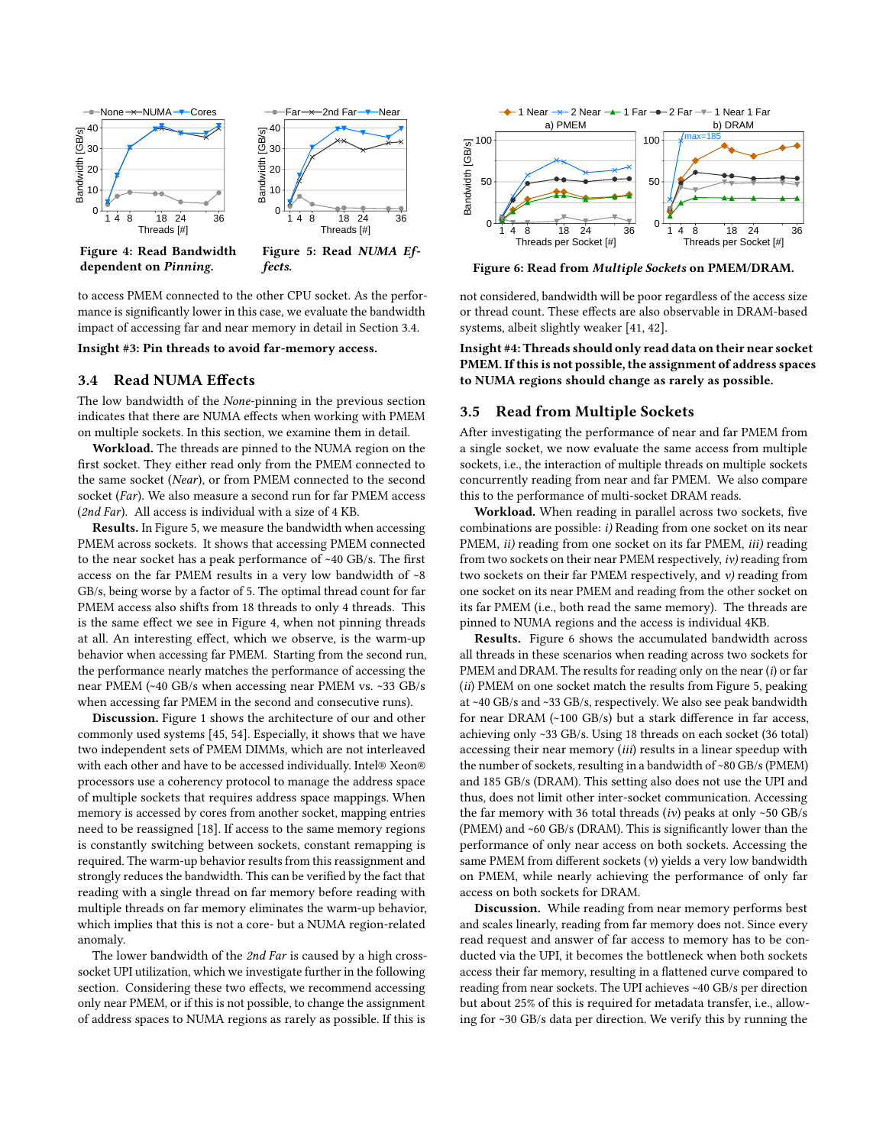<span id="page-4-0"></span>

Figure 4: Read Bandwidth dependent on Pinning.

Figure 5: Read NUMA Effects.

to access PMEM connected to the other CPU socket. As the performance is significantly lower in this case, we evaluate the bandwidth impact of accessing far and near memory in detail in Section [3.4.](#page-4-1)

<span id="page-4-1"></span>Insight #3: Pin threads to avoid far-memory access.

# 3.4 Read NUMA Effects

The low bandwidth of the None-pinning in the previous section indicates that there are NUMA effects when working with PMEM on multiple sockets. In this section, we examine them in detail.

Workload. The threads are pinned to the NUMA region on the first socket. They either read only from the PMEM connected to the same socket (Near), or from PMEM connected to the second socket (Far). We also measure a second run for far PMEM access (2nd Far). All access is individual with a size of 4 KB.

Results. In Figure [5,](#page-4-0) we measure the bandwidth when accessing PMEM across sockets. It shows that accessing PMEM connected to the near socket has a peak performance of ~40 GB/s. The first access on the far PMEM results in a very low bandwidth of ~8 GB/s, being worse by a factor of 5. The optimal thread count for far PMEM access also shifts from 18 threads to only 4 threads. This is the same effect we see in Figure [4,](#page-4-0) when not pinning threads at all. An interesting effect, which we observe, is the warm-up behavior when accessing far PMEM. Starting from the second run, the performance nearly matches the performance of accessing the near PMEM (~40 GB/s when accessing near PMEM vs. ~33 GB/s when accessing far PMEM in the second and consecutive runs).

Discussion. Figure [1](#page-1-1) shows the architecture of our and other commonly used systems [\[45,](#page-12-15) [54\]](#page-12-9). Especially, it shows that we have two independent sets of PMEM DIMMs, which are not interleaved with each other and have to be accessed individually. Intel® Xeon® processors use a coherency protocol to manage the address space of multiple sockets that requires address space mappings. When memory is accessed by cores from another socket, mapping entries need to be reassigned [\[18\]](#page-12-31). If access to the same memory regions is constantly switching between sockets, constant remapping is required. The warm-up behavior results from this reassignment and strongly reduces the bandwidth. This can be verified by the fact that reading with a single thread on far memory before reading with multiple threads on far memory eliminates the warm-up behavior, which implies that this is not a core- but a NUMA region-related anomaly.

The lower bandwidth of the 2nd Far is caused by a high crosssocket UPI utilization, which we investigate further in the following section. Considering these two effects, we recommend accessing only near PMEM, or if this is not possible, to change the assignment of address spaces to NUMA regions as rarely as possible. If this is

<span id="page-4-2"></span>

Figure 6: Read from Multiple Sockets on PMEM/DRAM.

not considered, bandwidth will be poor regardless of the access size or thread count. These effects are also observable in DRAM-based systems, albeit slightly weaker [\[41,](#page-12-32) [42\]](#page-12-33).

Insight #4: Threads should only read data on their near socket PMEM. If this is not possible, the assignment of address spaces to NUMA regions should change as rarely as possible.

## <span id="page-4-3"></span>3.5 Read from Multiple Sockets

After investigating the performance of near and far PMEM from a single socket, we now evaluate the same access from multiple sockets, i.e., the interaction of multiple threads on multiple sockets concurrently reading from near and far PMEM. We also compare this to the performance of multi-socket DRAM reads.

Workload. When reading in parallel across two sockets, five combinations are possible: i) Reading from one socket on its near PMEM, *ii*) reading from one socket on its far PMEM, *iii*) reading from two sockets on their near PMEM respectively, iv) reading from two sockets on their far PMEM respectively, and  $\nu$ ) reading from one socket on its near PMEM and reading from the other socket on its far PMEM (i.e., both read the same memory). The threads are pinned to NUMA regions and the access is individual 4KB.

Results. Figure [6](#page-4-2) shows the accumulated bandwidth across all threads in these scenarios when reading across two sockets for PMEM and DRAM. The results for reading only on the near (i) or far (ii) PMEM on one socket match the results from Figure [5,](#page-4-0) peaking at ~40 GB/s and ~33 GB/s, respectively. We also see peak bandwidth for near DRAM (~100 GB/s) but a stark difference in far access, achieving only ~33 GB/s. Using 18 threads on each socket (36 total) accessing their near memory (iii) results in a linear speedup with the number of sockets, resulting in a bandwidth of ~80 GB/s (PMEM) and 185 GB/s (DRAM). This setting also does not use the UPI and thus, does not limit other inter-socket communication. Accessing the far memory with 36 total threads  $(iv)$  peaks at only ~50 GB/s (PMEM) and ~60 GB/s (DRAM). This is significantly lower than the performance of only near access on both sockets. Accessing the same PMEM from different sockets (v) yields a very low bandwidth on PMEM, while nearly achieving the performance of only far access on both sockets for DRAM.

Discussion. While reading from near memory performs best and scales linearly, reading from far memory does not. Since every read request and answer of far access to memory has to be conducted via the UPI, it becomes the bottleneck when both sockets access their far memory, resulting in a flattened curve compared to reading from near sockets. The UPI achieves ~40 GB/s per direction but about 25% of this is required for metadata transfer, i.e., allowing for ~30 GB/s data per direction. We verify this by running the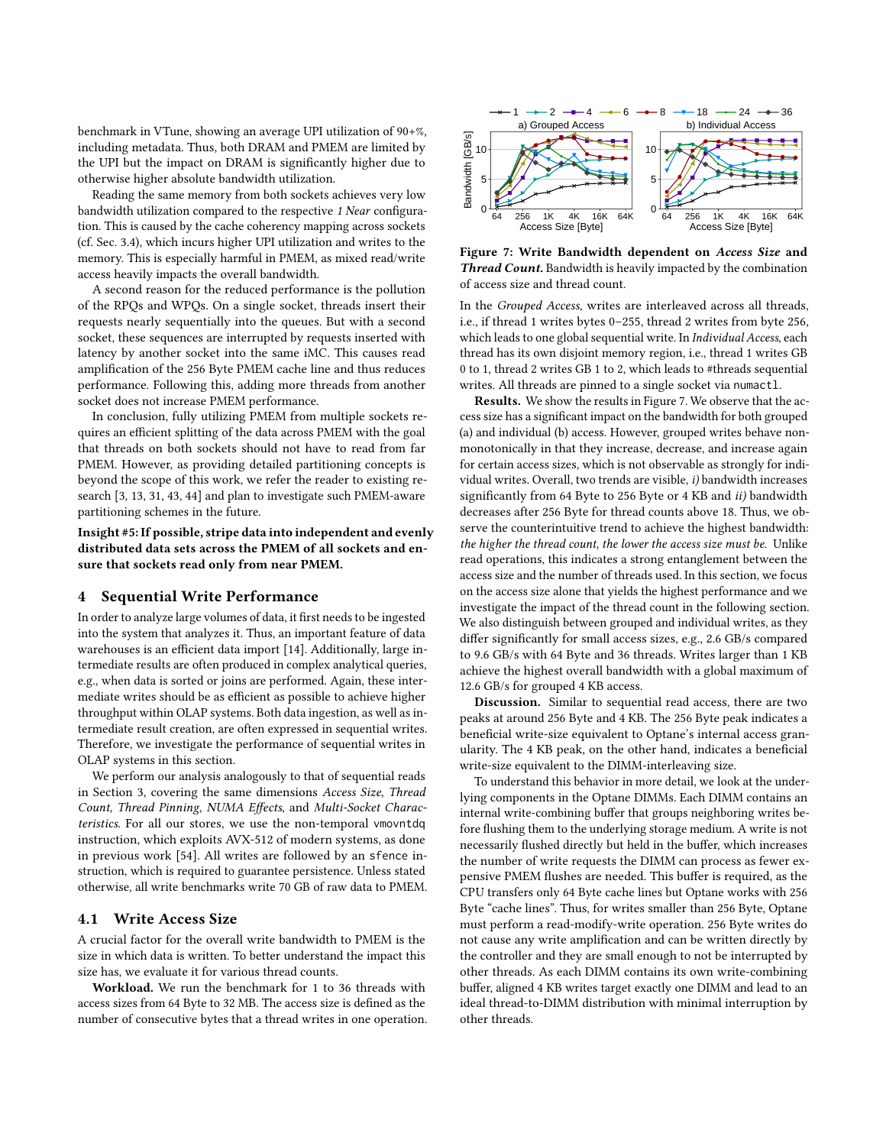benchmark in VTune, showing an average UPI utilization of 90+%, including metadata. Thus, both DRAM and PMEM are limited by the UPI but the impact on DRAM is significantly higher due to otherwise higher absolute bandwidth utilization.

Reading the same memory from both sockets achieves very low bandwidth utilization compared to the respective 1 Near configuration. This is caused by the cache coherency mapping across sockets (cf. Sec. [3.4\)](#page-4-1), which incurs higher UPI utilization and writes to the memory. This is especially harmful in PMEM, as mixed read/write access heavily impacts the overall bandwidth.

A second reason for the reduced performance is the pollution of the RPQs and WPQs. On a single socket, threads insert their requests nearly sequentially into the queues. But with a second socket, these sequences are interrupted by requests inserted with latency by another socket into the same iMC. This causes read amplification of the 256 Byte PMEM cache line and thus reduces performance. Following this, adding more threads from another socket does not increase PMEM performance.

In conclusion, fully utilizing PMEM from multiple sockets requires an efficient splitting of the data across PMEM with the goal that threads on both sockets should not have to read from far PMEM. However, as providing detailed partitioning concepts is beyond the scope of this work, we refer the reader to existing research [\[3,](#page-12-34) [13,](#page-12-35) [31,](#page-12-36) [43,](#page-12-37) [44\]](#page-12-38) and plan to investigate such PMEM-aware partitioning schemes in the future.

Insight #5: If possible, stripe data into independent and evenly distributed data sets across the PMEM of all sockets and ensure that sockets read only from near PMEM.

# <span id="page-5-0"></span>4 Sequential Write Performance

In order to analyze large volumes of data, it first needs to be ingested into the system that analyzes it. Thus, an important feature of data warehouses is an efficient data import [\[14\]](#page-12-29). Additionally, large intermediate results are often produced in complex analytical queries, e.g., when data is sorted or joins are performed. Again, these intermediate writes should be as efficient as possible to achieve higher throughput within OLAP systems. Both data ingestion, as well as intermediate result creation, are often expressed in sequential writes. Therefore, we investigate the performance of sequential writes in OLAP systems in this section.

We perform our analysis analogously to that of sequential reads in Section [3,](#page-2-0) covering the same dimensions Access Size, Thread Count, Thread Pinning, NUMA Effects, and Multi-Socket Characteristics. For all our stores, we use the non-temporal vmovntdq instruction, which exploits AVX-512 of modern systems, as done in previous work [\[54\]](#page-12-9). All writes are followed by an sfence instruction, which is required to guarantee persistence. Unless stated otherwise, all write benchmarks write 70 GB of raw data to PMEM.

#### 4.1 Write Access Size

A crucial factor for the overall write bandwidth to PMEM is the size in which data is written. To better understand the impact this size has, we evaluate it for various thread counts.

Workload. We run the benchmark for 1 to 36 threads with access sizes from 64 Byte to 32 MB. The access size is defined as the number of consecutive bytes that a thread writes in one operation.

<span id="page-5-1"></span>

Figure 7: Write Bandwidth dependent on Access Size and Thread Count. Bandwidth is heavily impacted by the combination of access size and thread count.

In the Grouped Access, writes are interleaved across all threads, i.e., if thread 1 writes bytes 0–255, thread 2 writes from byte 256, which leads to one global sequential write. In Individual Access, each thread has its own disjoint memory region, i.e., thread 1 writes GB 0 to 1, thread 2 writes GB 1 to 2, which leads to #threads sequential writes. All threads are pinned to a single socket via numactl.

Results. We show the results in Figure [7.](#page-5-1) We observe that the access size has a significant impact on the bandwidth for both grouped (a) and individual (b) access. However, grouped writes behave nonmonotonically in that they increase, decrease, and increase again for certain access sizes, which is not observable as strongly for individual writes. Overall, two trends are visible, i) bandwidth increases significantly from 64 Byte to 256 Byte or 4 KB and ii) bandwidth decreases after 256 Byte for thread counts above 18. Thus, we observe the counterintuitive trend to achieve the highest bandwidth: the higher the thread count, the lower the access size must be. Unlike read operations, this indicates a strong entanglement between the access size and the number of threads used. In this section, we focus on the access size alone that yields the highest performance and we investigate the impact of the thread count in the following section. We also distinguish between grouped and individual writes, as they differ significantly for small access sizes, e.g., 2.6 GB/s compared to 9.6 GB/s with 64 Byte and 36 threads. Writes larger than 1 KB achieve the highest overall bandwidth with a global maximum of 12.6 GB/s for grouped 4 KB access.

Discussion. Similar to sequential read access, there are two peaks at around 256 Byte and 4 KB. The 256 Byte peak indicates a beneficial write-size equivalent to Optane's internal access granularity. The 4 KB peak, on the other hand, indicates a beneficial write-size equivalent to the DIMM-interleaving size.

To understand this behavior in more detail, we look at the underlying components in the Optane DIMMs. Each DIMM contains an internal write-combining buffer that groups neighboring writes before flushing them to the underlying storage medium. A write is not necessarily flushed directly but held in the buffer, which increases the number of write requests the DIMM can process as fewer expensive PMEM flushes are needed. This buffer is required, as the CPU transfers only 64 Byte cache lines but Optane works with 256 Byte "cache lines". Thus, for writes smaller than 256 Byte, Optane must perform a read-modify-write operation. 256 Byte writes do not cause any write amplification and can be written directly by the controller and they are small enough to not be interrupted by other threads. As each DIMM contains its own write-combining buffer, aligned 4 KB writes target exactly one DIMM and lead to an ideal thread-to-DIMM distribution with minimal interruption by other threads.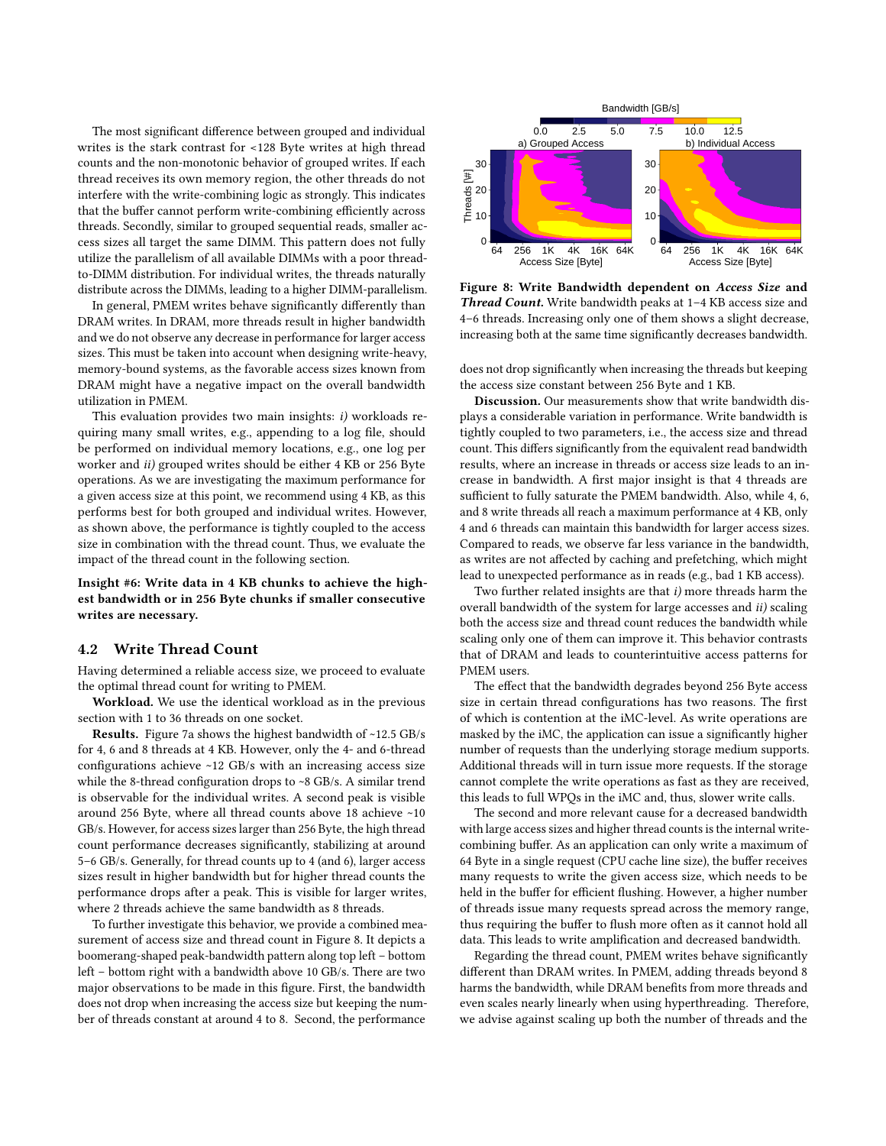The most significant difference between grouped and individual writes is the stark contrast for <128 Byte writes at high thread counts and the non-monotonic behavior of grouped writes. If each thread receives its own memory region, the other threads do not interfere with the write-combining logic as strongly. This indicates that the buffer cannot perform write-combining efficiently across threads. Secondly, similar to grouped sequential reads, smaller access sizes all target the same DIMM. This pattern does not fully utilize the parallelism of all available DIMMs with a poor threadto-DIMM distribution. For individual writes, the threads naturally distribute across the DIMMs, leading to a higher DIMM-parallelism.

In general, PMEM writes behave significantly differently than DRAM writes. In DRAM, more threads result in higher bandwidth and we do not observe any decrease in performance for larger access sizes. This must be taken into account when designing write-heavy, memory-bound systems, as the favorable access sizes known from DRAM might have a negative impact on the overall bandwidth utilization in PMEM.

This evaluation provides two main insights: i) workloads requiring many small writes, e.g., appending to a log file, should be performed on individual memory locations, e.g., one log per worker and ii) grouped writes should be either 4 KB or 256 Byte operations. As we are investigating the maximum performance for a given access size at this point, we recommend using 4 KB, as this performs best for both grouped and individual writes. However, as shown above, the performance is tightly coupled to the access size in combination with the thread count. Thus, we evaluate the impact of the thread count in the following section.

Insight #6: Write data in 4 KB chunks to achieve the highest bandwidth or in 256 Byte chunks if smaller consecutive writes are necessary.

## 4.2 Write Thread Count

Having determined a reliable access size, we proceed to evaluate the optimal thread count for writing to PMEM.

Workload. We use the identical workload as in the previous section with 1 to 36 threads on one socket.

Results. Figure [7a](#page-5-1) shows the highest bandwidth of ~12.5 GB/s for 4, 6 and 8 threads at 4 KB. However, only the 4- and 6-thread configurations achieve ~12 GB/s with an increasing access size while the 8-thread configuration drops to ~8 GB/s. A similar trend is observable for the individual writes. A second peak is visible around 256 Byte, where all thread counts above 18 achieve ~10 GB/s. However, for access sizes larger than 256 Byte, the high thread count performance decreases significantly, stabilizing at around 5–6 GB/s. Generally, for thread counts up to 4 (and 6), larger access sizes result in higher bandwidth but for higher thread counts the performance drops after a peak. This is visible for larger writes, where 2 threads achieve the same bandwidth as 8 threads.

To further investigate this behavior, we provide a combined measurement of access size and thread count in Figure [8.](#page-6-0) It depicts a boomerang-shaped peak-bandwidth pattern along top left – bottom left – bottom right with a bandwidth above 10 GB/s. There are two major observations to be made in this figure. First, the bandwidth does not drop when increasing the access size but keeping the number of threads constant at around 4 to 8. Second, the performance

<span id="page-6-0"></span>

Figure 8: Write Bandwidth dependent on Access Size and Thread Count. Write bandwidth peaks at 1–4 KB access size and 4–6 threads. Increasing only one of them shows a slight decrease, increasing both at the same time significantly decreases bandwidth.

does not drop significantly when increasing the threads but keeping the access size constant between 256 Byte and 1 KB.

Discussion. Our measurements show that write bandwidth displays a considerable variation in performance. Write bandwidth is tightly coupled to two parameters, i.e., the access size and thread count. This differs significantly from the equivalent read bandwidth results, where an increase in threads or access size leads to an increase in bandwidth. A first major insight is that 4 threads are sufficient to fully saturate the PMEM bandwidth. Also, while 4, 6, and 8 write threads all reach a maximum performance at 4 KB, only 4 and 6 threads can maintain this bandwidth for larger access sizes. Compared to reads, we observe far less variance in the bandwidth, as writes are not affected by caching and prefetching, which might lead to unexpected performance as in reads (e.g., bad 1 KB access).

Two further related insights are that i) more threads harm the overall bandwidth of the system for large accesses and ii) scaling both the access size and thread count reduces the bandwidth while scaling only one of them can improve it. This behavior contrasts that of DRAM and leads to counterintuitive access patterns for PMEM users.

The effect that the bandwidth degrades beyond 256 Byte access size in certain thread configurations has two reasons. The first of which is contention at the iMC-level. As write operations are masked by the iMC, the application can issue a significantly higher number of requests than the underlying storage medium supports. Additional threads will in turn issue more requests. If the storage cannot complete the write operations as fast as they are received, this leads to full WPQs in the iMC and, thus, slower write calls.

The second and more relevant cause for a decreased bandwidth with large access sizes and higher thread counts is the internal writecombining buffer. As an application can only write a maximum of 64 Byte in a single request (CPU cache line size), the buffer receives many requests to write the given access size, which needs to be held in the buffer for efficient flushing. However, a higher number of threads issue many requests spread across the memory range, thus requiring the buffer to flush more often as it cannot hold all data. This leads to write amplification and decreased bandwidth.

Regarding the thread count, PMEM writes behave significantly different than DRAM writes. In PMEM, adding threads beyond 8 harms the bandwidth, while DRAM benefits from more threads and even scales nearly linearly when using hyperthreading. Therefore, we advise against scaling up both the number of threads and the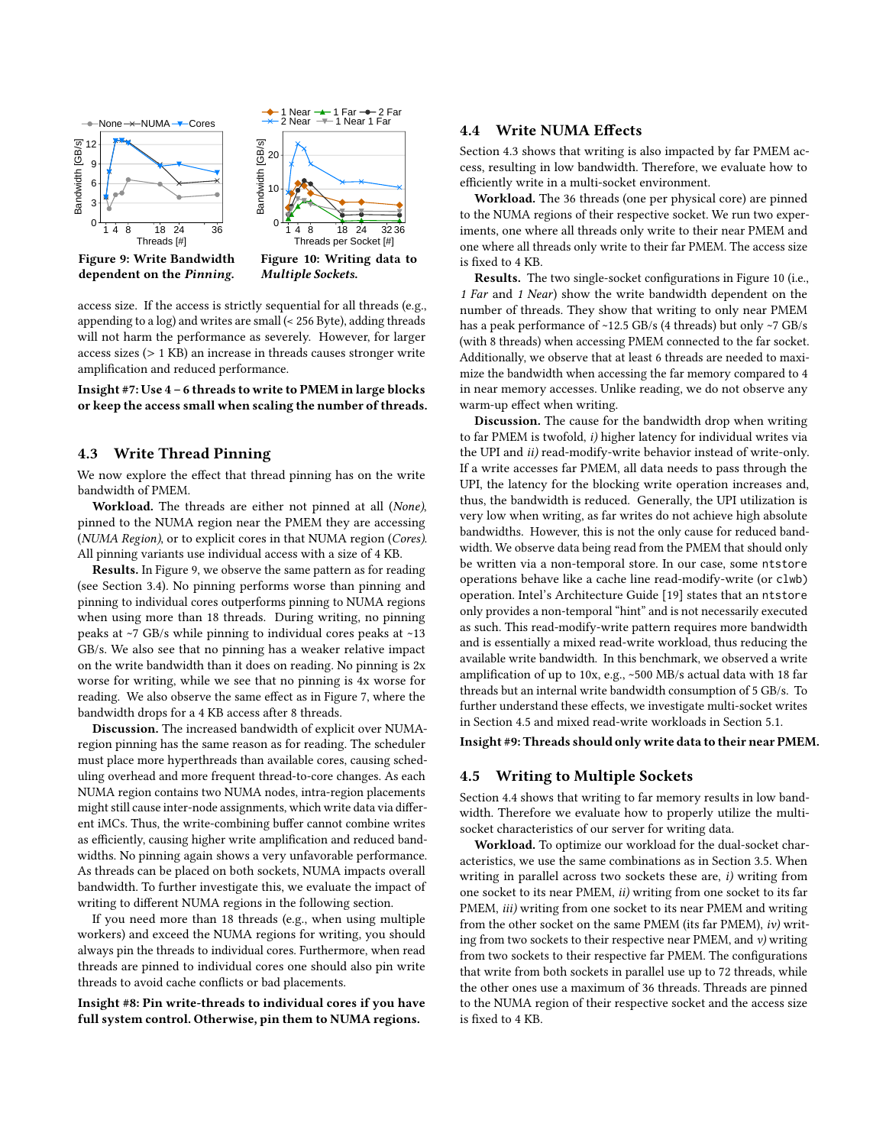<span id="page-7-0"></span>

access size. If the access is strictly sequential for all threads (e.g., appending to a log) and writes are small (< 256 Byte), adding threads will not harm the performance as severely. However, for larger access sizes (> 1 KB) an increase in threads causes stronger write amplification and reduced performance.

Insight #7: Use 4 – 6 threads to write to PMEM in large blocks or keep the access small when scaling the number of threads.

## <span id="page-7-1"></span>4.3 Write Thread Pinning

We now explore the effect that thread pinning has on the write bandwidth of PMEM.

Workload. The threads are either not pinned at all (None), pinned to the NUMA region near the PMEM they are accessing (NUMA Region), or to explicit cores in that NUMA region (Cores). All pinning variants use individual access with a size of 4 KB.

Results. In Figure [9,](#page-7-0) we observe the same pattern as for reading (see Section [3.4\)](#page-4-1). No pinning performs worse than pinning and pinning to individual cores outperforms pinning to NUMA regions when using more than 18 threads. During writing, no pinning peaks at ~7 GB/s while pinning to individual cores peaks at ~13 GB/s. We also see that no pinning has a weaker relative impact on the write bandwidth than it does on reading. No pinning is 2x worse for writing, while we see that no pinning is 4x worse for reading. We also observe the same effect as in Figure [7,](#page-5-1) where the bandwidth drops for a 4 KB access after 8 threads.

Discussion. The increased bandwidth of explicit over NUMAregion pinning has the same reason as for reading. The scheduler must place more hyperthreads than available cores, causing scheduling overhead and more frequent thread-to-core changes. As each NUMA region contains two NUMA nodes, intra-region placements might still cause inter-node assignments, which write data via different iMCs. Thus, the write-combining buffer cannot combine writes as efficiently, causing higher write amplification and reduced bandwidths. No pinning again shows a very unfavorable performance. As threads can be placed on both sockets, NUMA impacts overall bandwidth. To further investigate this, we evaluate the impact of writing to different NUMA regions in the following section.

If you need more than 18 threads (e.g., when using multiple workers) and exceed the NUMA regions for writing, you should always pin the threads to individual cores. Furthermore, when read threads are pinned to individual cores one should also pin write threads to avoid cache conflicts or bad placements.

<span id="page-7-3"></span>Insight #8: Pin write-threads to individual cores if you have full system control. Otherwise, pin them to NUMA regions.

## 4.4 Write NUMA Effects

Section [4.3](#page-7-1) shows that writing is also impacted by far PMEM access, resulting in low bandwidth. Therefore, we evaluate how to efficiently write in a multi-socket environment.

Workload. The 36 threads (one per physical core) are pinned to the NUMA regions of their respective socket. We run two experiments, one where all threads only write to their near PMEM and one where all threads only write to their far PMEM. The access size is fixed to 4 KB.

Results. The two single-socket configurations in Figure [10](#page-7-0) (i.e., 1 Far and 1 Near) show the write bandwidth dependent on the number of threads. They show that writing to only near PMEM has a peak performance of ~12.5 GB/s (4 threads) but only ~7 GB/s (with 8 threads) when accessing PMEM connected to the far socket. Additionally, we observe that at least 6 threads are needed to maximize the bandwidth when accessing the far memory compared to 4 in near memory accesses. Unlike reading, we do not observe any warm-up effect when writing.

Discussion. The cause for the bandwidth drop when writing to far PMEM is twofold, i) higher latency for individual writes via the UPI and ii) read-modify-write behavior instead of write-only. If a write accesses far PMEM, all data needs to pass through the UPI, the latency for the blocking write operation increases and, thus, the bandwidth is reduced. Generally, the UPI utilization is very low when writing, as far writes do not achieve high absolute bandwidths. However, this is not the only cause for reduced bandwidth. We observe data being read from the PMEM that should only be written via a non-temporal store. In our case, some ntstore operations behave like a cache line read-modify-write (or clwb) operation. Intel's Architecture Guide [\[19\]](#page-12-39) states that an ntstore only provides a non-temporal "hint" and is not necessarily executed as such. This read-modify-write pattern requires more bandwidth and is essentially a mixed read-write workload, thus reducing the available write bandwidth. In this benchmark, we observed a write amplification of up to 10x, e.g., ~500 MB/s actual data with 18 far threads but an internal write bandwidth consumption of 5 GB/s. To further understand these effects, we investigate multi-socket writes in Section [4.5](#page-7-2) and mixed read-write workloads in Section [5.1.](#page-8-1)

<span id="page-7-2"></span>Insight #9: Threads should only write data to their near PMEM.

## 4.5 Writing to Multiple Sockets

Section [4.4](#page-7-3) shows that writing to far memory results in low bandwidth. Therefore we evaluate how to properly utilize the multisocket characteristics of our server for writing data.

Workload. To optimize our workload for the dual-socket characteristics, we use the same combinations as in Section [3.5.](#page-4-3) When writing in parallel across two sockets these are, i) writing from one socket to its near PMEM, ii) writing from one socket to its far PMEM, iii) writing from one socket to its near PMEM and writing from the other socket on the same PMEM (its far PMEM), iv) writing from two sockets to their respective near PMEM, and  $v$ ) writing from two sockets to their respective far PMEM. The configurations that write from both sockets in parallel use up to 72 threads, while the other ones use a maximum of 36 threads. Threads are pinned to the NUMA region of their respective socket and the access size is fixed to 4 KB.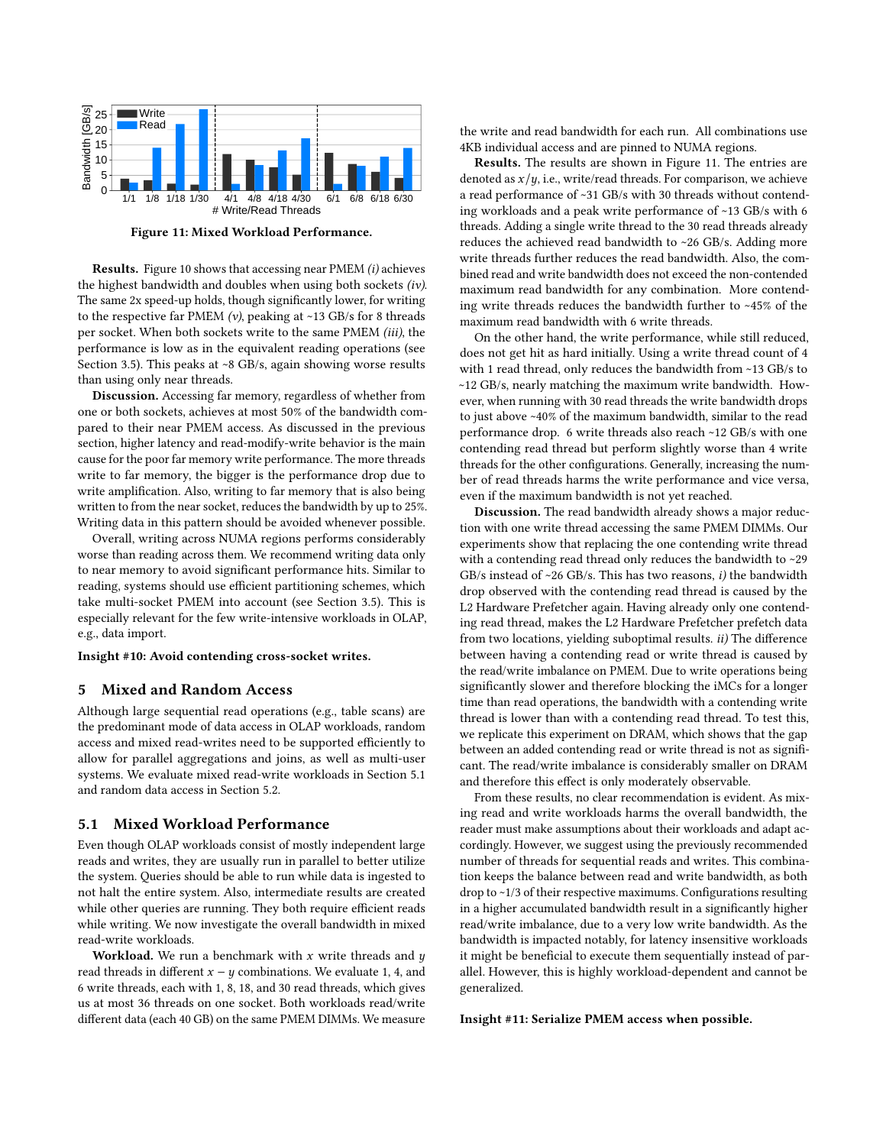<span id="page-8-3"></span>

Figure 11: Mixed Workload Performance.

Results. Figure [10](#page-7-0) shows that accessing near PMEM (i) achieves the highest bandwidth and doubles when using both sockets (iv). The same 2x speed-up holds, though significantly lower, for writing to the respective far PMEM  $(v)$ , peaking at ~13 GB/s for 8 threads per socket. When both sockets write to the same PMEM (iii), the performance is low as in the equivalent reading operations (see Section [3.5\)](#page-4-3). This peaks at ~8 GB/s, again showing worse results than using only near threads.

Discussion. Accessing far memory, regardless of whether from one or both sockets, achieves at most 50% of the bandwidth compared to their near PMEM access. As discussed in the previous section, higher latency and read-modify-write behavior is the main cause for the poor far memory write performance. The more threads write to far memory, the bigger is the performance drop due to write amplification. Also, writing to far memory that is also being written to from the near socket, reduces the bandwidth by up to 25%. Writing data in this pattern should be avoided whenever possible.

Overall, writing across NUMA regions performs considerably worse than reading across them. We recommend writing data only to near memory to avoid significant performance hits. Similar to reading, systems should use efficient partitioning schemes, which take multi-socket PMEM into account (see Section [3.5\)](#page-4-3). This is especially relevant for the few write-intensive workloads in OLAP, e.g., data import.

#### <span id="page-8-0"></span>Insight #10: Avoid contending cross-socket writes.

#### 5 Mixed and Random Access

Although large sequential read operations (e.g., table scans) are the predominant mode of data access in OLAP workloads, random access and mixed read-writes need to be supported efficiently to allow for parallel aggregations and joins, as well as multi-user systems. We evaluate mixed read-write workloads in Section [5.1](#page-8-1) and random data access in Section [5.2.](#page-8-2)

#### <span id="page-8-1"></span>5.1 Mixed Workload Performance

Even though OLAP workloads consist of mostly independent large reads and writes, they are usually run in parallel to better utilize the system. Queries should be able to run while data is ingested to not halt the entire system. Also, intermediate results are created while other queries are running. They both require efficient reads while writing. We now investigate the overall bandwidth in mixed read-write workloads.

Workload. We run a benchmark with  $x$  write threads and  $y$ read threads in different  $x - y$  combinations. We evaluate 1, 4, and 6 write threads, each with 1, 8, 18, and 30 read threads, which gives us at most 36 threads on one socket. Both workloads read/write different data (each 40 GB) on the same PMEM DIMMs. We measure the write and read bandwidth for each run. All combinations use 4KB individual access and are pinned to NUMA regions.

Results. The results are shown in Figure [11.](#page-8-3) The entries are denoted as  $x/y$ , i.e., write/read threads. For comparison, we achieve a read performance of ~31 GB/s with 30 threads without contending workloads and a peak write performance of ~13 GB/s with 6 threads. Adding a single write thread to the 30 read threads already reduces the achieved read bandwidth to ~26 GB/s. Adding more write threads further reduces the read bandwidth. Also, the combined read and write bandwidth does not exceed the non-contended maximum read bandwidth for any combination. More contending write threads reduces the bandwidth further to ~45% of the maximum read bandwidth with 6 write threads.

On the other hand, the write performance, while still reduced, does not get hit as hard initially. Using a write thread count of 4 with 1 read thread, only reduces the bandwidth from ~13 GB/s to ~12 GB/s, nearly matching the maximum write bandwidth. However, when running with 30 read threads the write bandwidth drops to just above ~40% of the maximum bandwidth, similar to the read performance drop. 6 write threads also reach ~12 GB/s with one contending read thread but perform slightly worse than 4 write threads for the other configurations. Generally, increasing the number of read threads harms the write performance and vice versa, even if the maximum bandwidth is not yet reached.

Discussion. The read bandwidth already shows a major reduction with one write thread accessing the same PMEM DIMMs. Our experiments show that replacing the one contending write thread with a contending read thread only reduces the bandwidth to ~29 GB/s instead of  $\sim$ 26 GB/s. This has two reasons, *i*) the bandwidth drop observed with the contending read thread is caused by the L2 Hardware Prefetcher again. Having already only one contending read thread, makes the L2 Hardware Prefetcher prefetch data from two locations, yielding suboptimal results. *ii*) The difference between having a contending read or write thread is caused by the read/write imbalance on PMEM. Due to write operations being significantly slower and therefore blocking the iMCs for a longer time than read operations, the bandwidth with a contending write thread is lower than with a contending read thread. To test this, we replicate this experiment on DRAM, which shows that the gap between an added contending read or write thread is not as significant. The read/write imbalance is considerably smaller on DRAM and therefore this effect is only moderately observable.

From these results, no clear recommendation is evident. As mixing read and write workloads harms the overall bandwidth, the reader must make assumptions about their workloads and adapt accordingly. However, we suggest using the previously recommended number of threads for sequential reads and writes. This combination keeps the balance between read and write bandwidth, as both drop to ~1/3 of their respective maximums. Configurations resulting in a higher accumulated bandwidth result in a significantly higher read/write imbalance, due to a very low write bandwidth. As the bandwidth is impacted notably, for latency insensitive workloads it might be beneficial to execute them sequentially instead of parallel. However, this is highly workload-dependent and cannot be generalized.

<span id="page-8-2"></span>Insight #11: Serialize PMEM access when possible.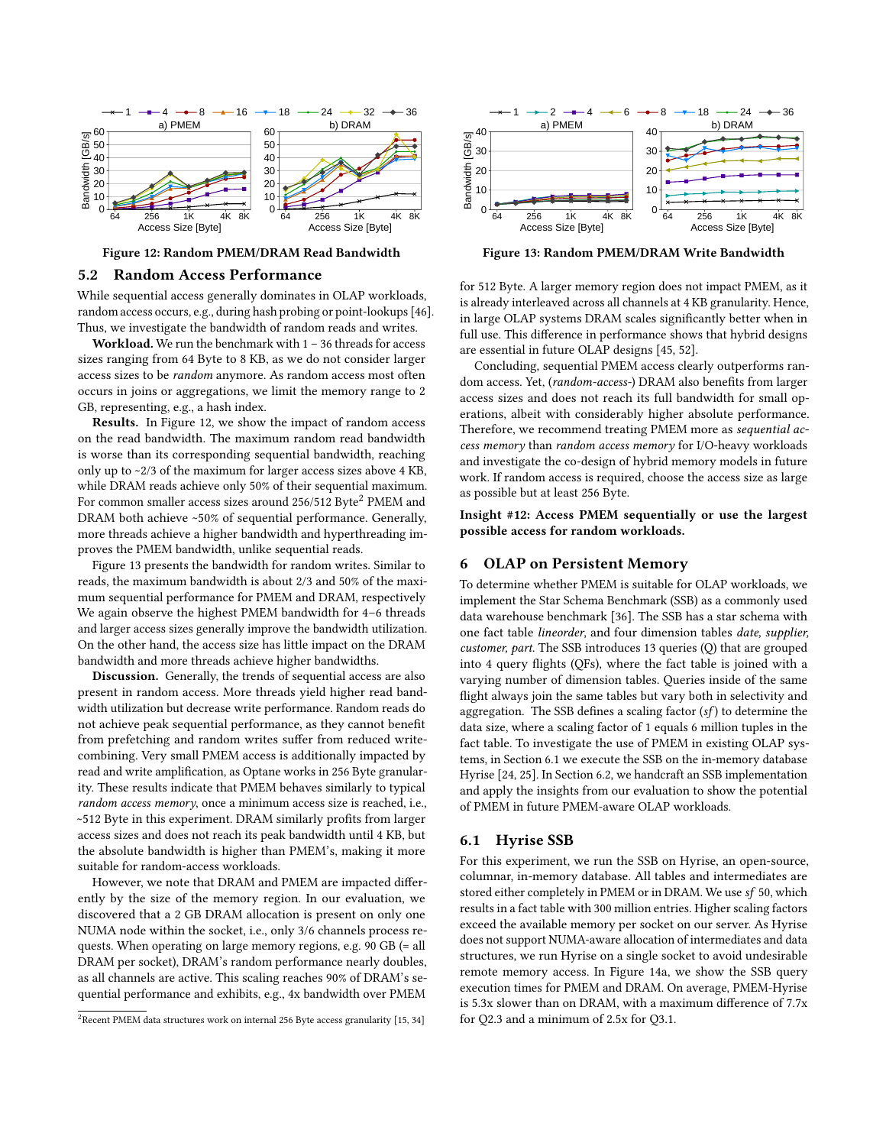<span id="page-9-1"></span>

Figure 12: Random PMEM/DRAM Read Bandwidth

#### 5.2 Random Access Performance

While sequential access generally dominates in OLAP workloads, random access occurs, e.g., during hash probing or point-lookups [\[46\]](#page-12-24). Thus, we investigate the bandwidth of random reads and writes.

Workload. We run the benchmark with  $1 - 36$  threads for access sizes ranging from 64 Byte to 8 KB, as we do not consider larger access sizes to be random anymore. As random access most often occurs in joins or aggregations, we limit the memory range to 2 GB, representing, e.g., a hash index.

Results. In Figure [12,](#page-9-1) we show the impact of random access on the read bandwidth. The maximum random read bandwidth is worse than its corresponding sequential bandwidth, reaching only up to ~2/3 of the maximum for larger access sizes above 4 KB, while DRAM reads achieve only 50% of their sequential maximum. For common smaller access sizes around [2](#page-9-2)56/512 Byte<sup>2</sup> PMEM and DRAM both achieve ~50% of sequential performance. Generally, more threads achieve a higher bandwidth and hyperthreading improves the PMEM bandwidth, unlike sequential reads.

Figure [13](#page-9-3) presents the bandwidth for random writes. Similar to reads, the maximum bandwidth is about 2/3 and 50% of the maximum sequential performance for PMEM and DRAM, respectively We again observe the highest PMEM bandwidth for 4–6 threads and larger access sizes generally improve the bandwidth utilization. On the other hand, the access size has little impact on the DRAM bandwidth and more threads achieve higher bandwidths.

Discussion. Generally, the trends of sequential access are also present in random access. More threads yield higher read bandwidth utilization but decrease write performance. Random reads do not achieve peak sequential performance, as they cannot benefit from prefetching and random writes suffer from reduced writecombining. Very small PMEM access is additionally impacted by read and write amplification, as Optane works in 256 Byte granularity. These results indicate that PMEM behaves similarly to typical random access memory, once a minimum access size is reached, i.e., ~512 Byte in this experiment. DRAM similarly profits from larger access sizes and does not reach its peak bandwidth until 4 KB, but the absolute bandwidth is higher than PMEM's, making it more suitable for random-access workloads.

However, we note that DRAM and PMEM are impacted differently by the size of the memory region. In our evaluation, we discovered that a 2 GB DRAM allocation is present on only one NUMA node within the socket, i.e., only 3/6 channels process requests. When operating on large memory regions, e.g. 90 GB (= all DRAM per socket), DRAM's random performance nearly doubles, as all channels are active. This scaling reaches 90% of DRAM's sequential performance and exhibits, e.g., 4x bandwidth over PMEM

<span id="page-9-3"></span>

Figure 13: Random PMEM/DRAM Write Bandwidth

for 512 Byte. A larger memory region does not impact PMEM, as it is already interleaved across all channels at 4 KB granularity. Hence, in large OLAP systems DRAM scales significantly better when in full use. This difference in performance shows that hybrid designs are essential in future OLAP designs [\[45,](#page-12-15) [52\]](#page-12-16).

Concluding, sequential PMEM access clearly outperforms random access. Yet, (random-access-) DRAM also benefits from larger access sizes and does not reach its full bandwidth for small operations, albeit with considerably higher absolute performance. Therefore, we recommend treating PMEM more as sequential access memory than random access memory for I/O-heavy workloads and investigate the co-design of hybrid memory models in future work. If random access is required, choose the access size as large as possible but at least 256 Byte.

Insight #12: Access PMEM sequentially or use the largest possible access for random workloads.

# <span id="page-9-0"></span>6 OLAP on Persistent Memory

To determine whether PMEM is suitable for OLAP workloads, we implement the Star Schema Benchmark (SSB) as a commonly used data warehouse benchmark [\[36\]](#page-12-17). The SSB has a star schema with one fact table lineorder, and four dimension tables date, supplier, customer, part. The SSB introduces 13 queries (Q) that are grouped into 4 query flights (QFs), where the fact table is joined with a varying number of dimension tables. Queries inside of the same flight always join the same tables but vary both in selectivity and aggregation. The SSB defines a scaling factor  $(sf)$  to determine the data size, where a scaling factor of 1 equals 6 million tuples in the fact table. To investigate the use of PMEM in existing OLAP systems, in Section [6.1](#page-9-4) we execute the SSB on the in-memory database Hyrise [\[24,](#page-12-18) [25\]](#page-12-19). In Section [6.2,](#page-10-0) we handcraft an SSB implementation and apply the insights from our evaluation to show the potential of PMEM in future PMEM-aware OLAP workloads.

#### <span id="page-9-4"></span>6.1 Hyrise SSB

For this experiment, we run the SSB on Hyrise, an open-source, columnar, in-memory database. All tables and intermediates are stored either completely in PMEM or in DRAM. We use sf 50, which results in a fact table with 300 million entries. Higher scaling factors exceed the available memory per socket on our server. As Hyrise does not support NUMA-aware allocation of intermediates and data structures, we run Hyrise on a single socket to avoid undesirable remote memory access. In Figure [14a](#page-10-1), we show the SSB query execution times for PMEM and DRAM. On average, PMEM-Hyrise is 5.3x slower than on DRAM, with a maximum difference of 7.7x for Q2.3 and a minimum of 2.5x for Q3.1.

<span id="page-9-2"></span><sup>&</sup>lt;sup>2</sup>Recent PMEM data structures work on internal 256 Byte access granularity [\[15,](#page-12-40) [34\]](#page-12-41)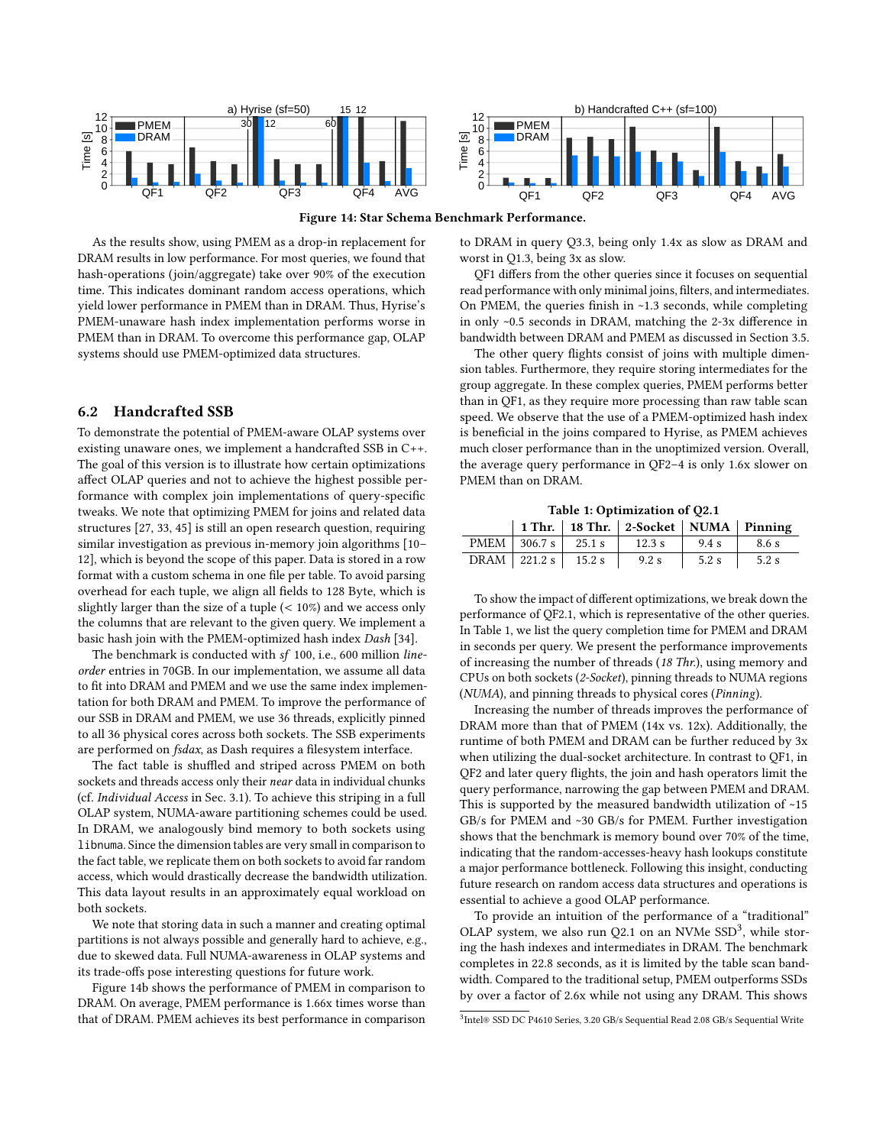<span id="page-10-1"></span>

Figure 14: Star Schema Benchmark Performance.

As the results show, using PMEM as a drop-in replacement for DRAM results in low performance. For most queries, we found that hash-operations (join/aggregate) take over 90% of the execution time. This indicates dominant random access operations, which yield lower performance in PMEM than in DRAM. Thus, Hyrise's PMEM-unaware hash index implementation performs worse in PMEM than in DRAM. To overcome this performance gap, OLAP systems should use PMEM-optimized data structures.

# <span id="page-10-0"></span>6.2 Handcrafted SSB

To demonstrate the potential of PMEM-aware OLAP systems over existing unaware ones, we implement a handcrafted SSB in C++. The goal of this version is to illustrate how certain optimizations affect OLAP queries and not to achieve the highest possible performance with complex join implementations of query-specific tweaks. We note that optimizing PMEM for joins and related data structures [\[27,](#page-12-6) [33,](#page-12-42) [45\]](#page-12-15) is still an open research question, requiring similar investigation as previous in-memory join algorithms [\[10–](#page-12-43) [12\]](#page-12-44), which is beyond the scope of this paper. Data is stored in a row format with a custom schema in one file per table. To avoid parsing overhead for each tuple, we align all fields to 128 Byte, which is slightly larger than the size of a tuple  $(< 10\%)$  and we access only the columns that are relevant to the given query. We implement a basic hash join with the PMEM-optimized hash index Dash [\[34\]](#page-12-41).

The benchmark is conducted with sf 100, i.e., 600 million lineorder entries in 70GB. In our implementation, we assume all data to fit into DRAM and PMEM and we use the same index implementation for both DRAM and PMEM. To improve the performance of our SSB in DRAM and PMEM, we use 36 threads, explicitly pinned to all 36 physical cores across both sockets. The SSB experiments are performed on fsdax, as Dash requires a filesystem interface.

The fact table is shuffled and striped across PMEM on both sockets and threads access only their near data in individual chunks (cf. Individual Access in Sec. [3.1\)](#page-2-3). To achieve this striping in a full OLAP system, NUMA-aware partitioning schemes could be used. In DRAM, we analogously bind memory to both sockets using libnuma. Since the dimension tables are very small in comparison to the fact table, we replicate them on both sockets to avoid far random access, which would drastically decrease the bandwidth utilization. This data layout results in an approximately equal workload on both sockets.

We note that storing data in such a manner and creating optimal partitions is not always possible and generally hard to achieve, e.g., due to skewed data. Full NUMA-awareness in OLAP systems and its trade-offs pose interesting questions for future work.

Figure [14b](#page-10-1) shows the performance of PMEM in comparison to DRAM. On average, PMEM performance is 1.66x times worse than that of DRAM. PMEM achieves its best performance in comparison to DRAM in query Q3.3, being only 1.4x as slow as DRAM and worst in Q1.3, being 3x as slow.

QF1 differs from the other queries since it focuses on sequential read performance with only minimal joins, filters, and intermediates. On PMEM, the queries finish in ~1.3 seconds, while completing in only ~0.5 seconds in DRAM, matching the 2-3x difference in bandwidth between DRAM and PMEM as discussed in Section [3.5.](#page-4-3)

The other query flights consist of joins with multiple dimension tables. Furthermore, they require storing intermediates for the group aggregate. In these complex queries, PMEM performs better than in QF1, as they require more processing than raw table scan speed. We observe that the use of a PMEM-optimized hash index is beneficial in the joins compared to Hyrise, as PMEM achieves much closer performance than in the unoptimized version. Overall, the average query performance in QF2–4 is only 1.6x slower on PMEM than on DRAM.

Table 1: Optimization of Q2.1

<span id="page-10-2"></span>

|  |                                 | 1 Thr.   18 Thr.   2-Socket   NUMA   Pinning     |               |  |
|--|---------------------------------|--------------------------------------------------|---------------|--|
|  |                                 | PMEM   306.7 s   25.1 s   12.3 s   9.4 s   8.6 s |               |  |
|  | DRAM   221.2 s   15.2 s   9.2 s |                                                  | $5.2 s$ 5.2 s |  |

To show the impact of different optimizations, we break down the performance of QF2.1, which is representative of the other queries. In Table [1,](#page-10-2) we list the query completion time for PMEM and DRAM in seconds per query. We present the performance improvements of increasing the number of threads (18 Thr.), using memory and CPUs on both sockets (2-Socket), pinning threads to NUMA regions (NUMA), and pinning threads to physical cores (Pinning).

Increasing the number of threads improves the performance of DRAM more than that of PMEM (14x vs. 12x). Additionally, the runtime of both PMEM and DRAM can be further reduced by 3x when utilizing the dual-socket architecture. In contrast to QF1, in QF2 and later query flights, the join and hash operators limit the query performance, narrowing the gap between PMEM and DRAM. This is supported by the measured bandwidth utilization of ~15 GB/s for PMEM and ~30 GB/s for PMEM. Further investigation shows that the benchmark is memory bound over 70% of the time, indicating that the random-accesses-heavy hash lookups constitute a major performance bottleneck. Following this insight, conducting future research on random access data structures and operations is essential to achieve a good OLAP performance.

To provide an intuition of the performance of a "traditional" OLAP system, we also run Q2.1 on an NVMe  $SSD<sup>3</sup>$  $SSD<sup>3</sup>$  $SSD<sup>3</sup>$ , while storing the hash indexes and intermediates in DRAM. The benchmark completes in 22.8 seconds, as it is limited by the table scan bandwidth. Compared to the traditional setup, PMEM outperforms SSDs by over a factor of 2.6x while not using any DRAM. This shows

<span id="page-10-3"></span><sup>3</sup> Intel® SSD DC P4610 Series, 3.20 GB/s Sequential Read 2.08 GB/s Sequential Write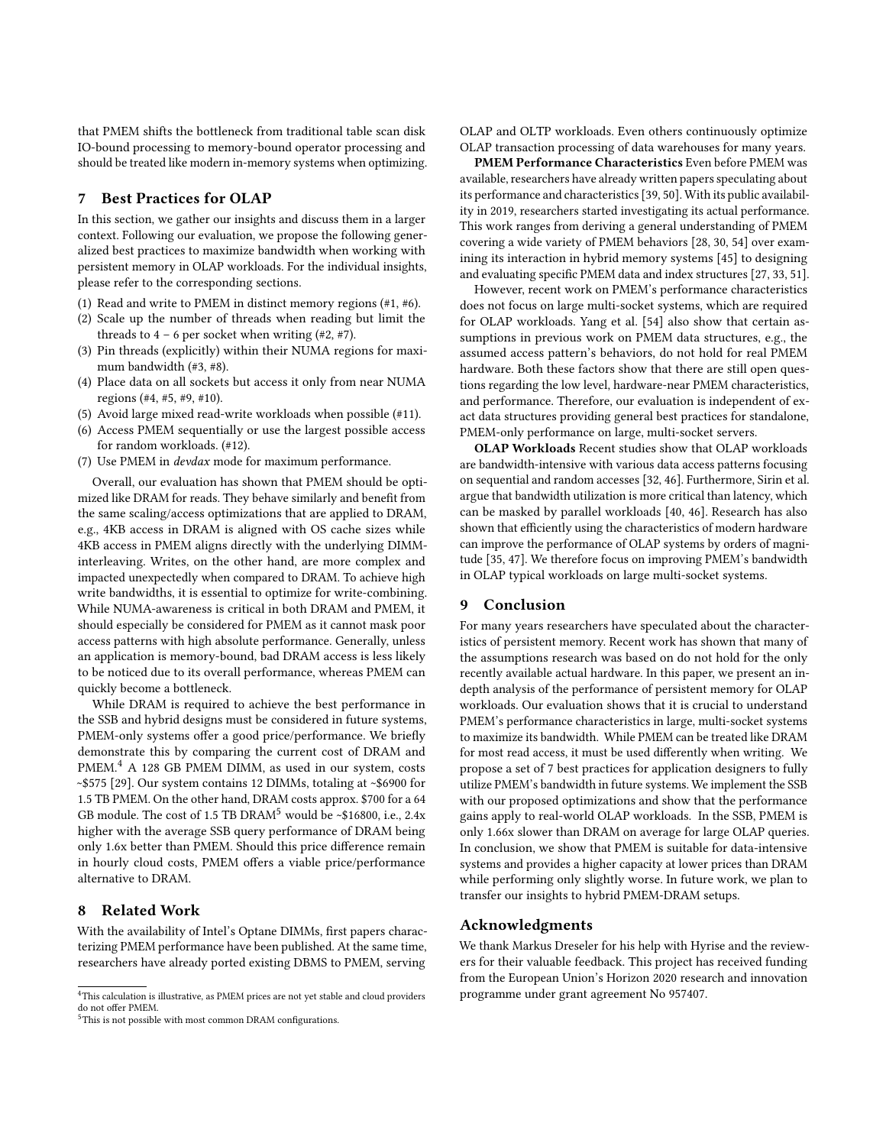that PMEM shifts the bottleneck from traditional table scan disk IO-bound processing to memory-bound operator processing and should be treated like modern in-memory systems when optimizing.

# <span id="page-11-0"></span>7 Best Practices for OLAP

In this section, we gather our insights and discuss them in a larger context. Following our evaluation, we propose the following generalized best practices to maximize bandwidth when working with persistent memory in OLAP workloads. For the individual insights, please refer to the corresponding sections.

- (1) Read and write to PMEM in distinct memory regions (#1, #6).
- (2) Scale up the number of threads when reading but limit the threads to  $4 - 6$  per socket when writing  $(\#2, \#7)$ .
- (3) Pin threads (explicitly) within their NUMA regions for maximum bandwidth (#3, #8).
- (4) Place data on all sockets but access it only from near NUMA regions (#4, #5, #9, #10).
- (5) Avoid large mixed read-write workloads when possible (#11).
- (6) Access PMEM sequentially or use the largest possible access for random workloads. (#12).
- (7) Use PMEM in devdax mode for maximum performance.

Overall, our evaluation has shown that PMEM should be optimized like DRAM for reads. They behave similarly and benefit from the same scaling/access optimizations that are applied to DRAM, e.g., 4KB access in DRAM is aligned with OS cache sizes while 4KB access in PMEM aligns directly with the underlying DIMMinterleaving. Writes, on the other hand, are more complex and impacted unexpectedly when compared to DRAM. To achieve high write bandwidths, it is essential to optimize for write-combining. While NUMA-awareness is critical in both DRAM and PMEM, it should especially be considered for PMEM as it cannot mask poor access patterns with high absolute performance. Generally, unless an application is memory-bound, bad DRAM access is less likely to be noticed due to its overall performance, whereas PMEM can quickly become a bottleneck.

While DRAM is required to achieve the best performance in the SSB and hybrid designs must be considered in future systems, PMEM-only systems offer a good price/performance. We briefly demonstrate this by comparing the current cost of DRAM and PMEM.<sup>[4](#page-11-3)</sup> A 128 GB PMEM DIMM, as used in our system, costs ~\$575 [\[29\]](#page-12-45). Our system contains 12 DIMMs, totaling at ~\$6900 for 1.5 TB PMEM. On the other hand, DRAM costs approx. \$700 for a 64 GB module. The cost of 1.[5](#page-11-4) TB DRAM<sup>5</sup> would be ~\$16800, i.e., 2.4x higher with the average SSB query performance of DRAM being only 1.6x better than PMEM. Should this price difference remain in hourly cloud costs, PMEM offers a viable price/performance alternative to DRAM.

# <span id="page-11-1"></span>8 Related Work

With the availability of Intel's Optane DIMMs, first papers characterizing PMEM performance have been published. At the same time, researchers have already ported existing DBMS to PMEM, serving

OLAP and OLTP workloads. Even others continuously optimize OLAP transaction processing of data warehouses for many years.

PMEM Performance Characteristics Even before PMEM was available, researchers have already written papers speculating about its performance and characteristics [\[39,](#page-12-46) [50\]](#page-12-47). With its public availability in 2019, researchers started investigating its actual performance. This work ranges from deriving a general understanding of PMEM covering a wide variety of PMEM behaviors [\[28,](#page-12-48) [30,](#page-12-7) [54\]](#page-12-9) over examining its interaction in hybrid memory systems [\[45\]](#page-12-15) to designing and evaluating specific PMEM data and index structures [\[27,](#page-12-6) [33,](#page-12-42) [51\]](#page-12-8).

However, recent work on PMEM's performance characteristics does not focus on large multi-socket systems, which are required for OLAP workloads. Yang et al. [\[54\]](#page-12-9) also show that certain assumptions in previous work on PMEM data structures, e.g., the assumed access pattern's behaviors, do not hold for real PMEM hardware. Both these factors show that there are still open questions regarding the low level, hardware-near PMEM characteristics, and performance. Therefore, our evaluation is independent of exact data structures providing general best practices for standalone, PMEM-only performance on large, multi-socket servers.

OLAP Workloads Recent studies show that OLAP workloads are bandwidth-intensive with various data access patterns focusing on sequential and random accesses [\[32,](#page-12-49) [46\]](#page-12-24). Furthermore, Sirin et al. argue that bandwidth utilization is more critical than latency, which can be masked by parallel workloads [\[40,](#page-12-50) [46\]](#page-12-24). Research has also shown that efficiently using the characteristics of modern hardware can improve the performance of OLAP systems by orders of magnitude [\[35,](#page-12-51) [47\]](#page-12-52). We therefore focus on improving PMEM's bandwidth in OLAP typical workloads on large multi-socket systems.

# <span id="page-11-2"></span>9 Conclusion

For many years researchers have speculated about the characteristics of persistent memory. Recent work has shown that many of the assumptions research was based on do not hold for the only recently available actual hardware. In this paper, we present an indepth analysis of the performance of persistent memory for OLAP workloads. Our evaluation shows that it is crucial to understand PMEM's performance characteristics in large, multi-socket systems to maximize its bandwidth. While PMEM can be treated like DRAM for most read access, it must be used differently when writing. We propose a set of 7 best practices for application designers to fully utilize PMEM's bandwidth in future systems. We implement the SSB with our proposed optimizations and show that the performance gains apply to real-world OLAP workloads. In the SSB, PMEM is only 1.66x slower than DRAM on average for large OLAP queries. In conclusion, we show that PMEM is suitable for data-intensive systems and provides a higher capacity at lower prices than DRAM while performing only slightly worse. In future work, we plan to transfer our insights to hybrid PMEM-DRAM setups.

# Acknowledgments

We thank Markus Dreseler for his help with Hyrise and the reviewers for their valuable feedback. This project has received funding from the European Union's Horizon 2020 research and innovation programme under grant agreement No 957407.

<span id="page-11-3"></span><sup>4</sup>This calculation is illustrative, as PMEM prices are not yet stable and cloud providers do not offer PMEM

<span id="page-11-4"></span><sup>5</sup>This is not possible with most common DRAM configurations.